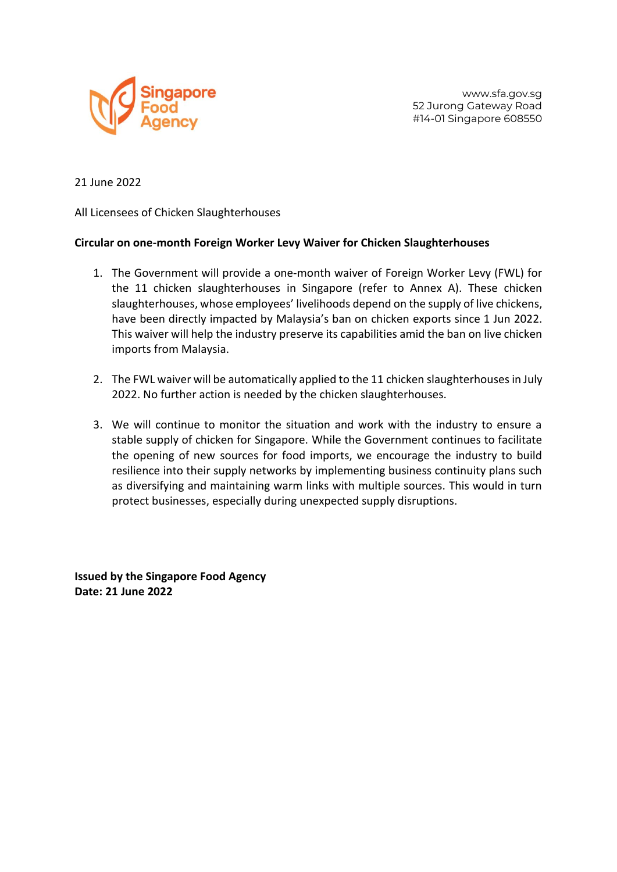

www.sfa.gov.sg 52 Jurong Gateway Road #14-01 Singapore 608550

21 June 2022

All Licensees of Chicken Slaughterhouses

## **Circular on one-month Foreign Worker Levy Waiver for Chicken Slaughterhouses**

- 1. The Government will provide a one-month waiver of Foreign Worker Levy (FWL) for the 11 chicken slaughterhouses in Singapore (refer to Annex A). These chicken slaughterhouses, whose employees' livelihoods depend on the supply of live chickens, have been directly impacted by Malaysia's ban on chicken exports since 1 Jun 2022. This waiver will help the industry preserve its capabilities amid the ban on live chicken imports from Malaysia.
- 2. The FWL waiver will be automatically applied to the 11 chicken slaughterhouses in July 2022. No further action is needed by the chicken slaughterhouses.
- 3. We will continue to monitor the situation and work with the industry to ensure a stable supply of chicken for Singapore. While the Government continues to facilitate the opening of new sources for food imports, we encourage the industry to build resilience into their supply networks by implementing business continuity plans such as diversifying and maintaining warm links with multiple sources. This would in turn protect businesses, especially during unexpected supply disruptions.

**Issued by the Singapore Food Agency Date: 21 June 2022**